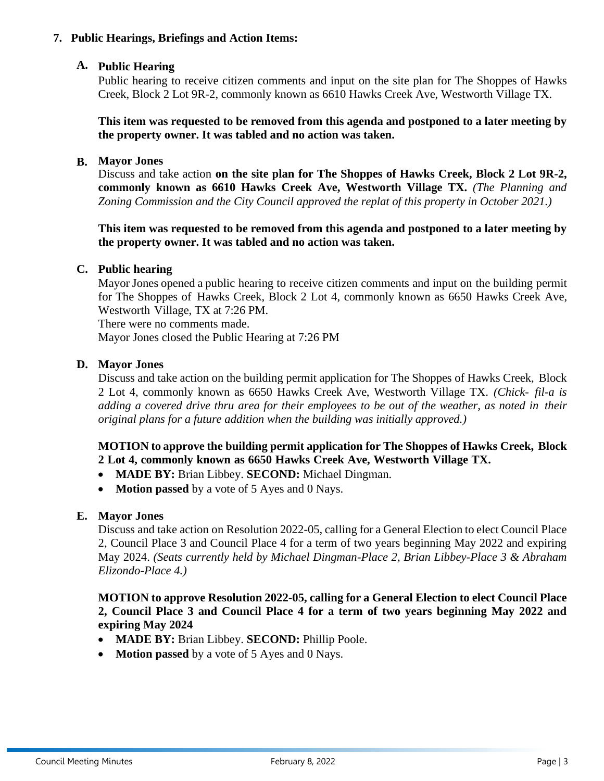

**City Council Regular Session Meeting Agenda**

Municipal Complex 311 Burton Hill Road Westworth Village, TX 76114 cityofwestworth.com

March 8, 2022 **7:00 PM** 7:00 PM Council Chambers

# **CALL TO ORDER**

# **INVOCATION & PLEDGE OF ALLEGIANCE**

### **REGULAR SESSION:**

### **1. Approval of the Agenda**

### **2. Approval of the Consent Agenda:**

*All matters listed as Consent Agenda are considered to be routine by the City Council and will be enacted by one motion. There will not be a separate discussion of these items. If discussion is desired, that item will be removed from the consent agenda and will be considered separately.* 

#### A. **Approval of the Minutes:**

• Council Meeting – February 8, 2022

### B. **Approval of the Financial Reports:**

- TexPool Report
- A/P Disbursements

| <b>BALANCES</b>      | <b>GENERAL</b> | <b>WATER</b> | <b>CAPITAL</b>  | <b>CRIME</b>   | <b>DEBT</b>    | <b>WRA</b> | <b>HCGC</b> | <b>STREET</b> | <b>GAS</b>       |
|----------------------|----------------|--------------|-----------------|----------------|----------------|------------|-------------|---------------|------------------|
| Feb 2022             |                |              | <b>PROJECTS</b> | <b>CONTROL</b> | <b>SERVICE</b> |            |             |               | <b>ROYALTIES</b> |
| Revenue <sup>*</sup> | \$221.362      | \$124.427    |                 |                |                |            | \$72.010    |               |                  |
| Disbursement *       | \$242.025      | \$96.830     |                 | \$46.574       | \$17.700       | \$82.109   | \$83,152    | \$7,836       | 0                |
| Cash on Hand         | \$1,083,411    | \$1.185.672  | \$405.379       | \$224.462      | \$3.104        | \$59.464   | \$498.233   |               | \$26,774         |
| TexPool              | \$1,558,455    | \$84,763     | \$24.959        | \$247          | \$955.867      | \$749.940  |             |               |                  |
| Money Market         | \$350,000      | \$500,000    |                 |                | \$129,000      | \$728,362  |             |               | \$1,387,782      |

*\* Month end closings and bank reconciliation pending.* 

### **3. Staff Updates:**

- A. Kevin Reaves, Chief of Police
- B. Cody Cooke-Morse, Public Works Director
- C. Mike Krsnak, Hawk Creek Golf Pro
- D. Brandy Barrett, City Administrator
- **4. Mayor's Report** *(A recap of the mayors previous 30 days in office.)*
- **5. Committee Updates** *(A recap of the meetings held in the previous 30 days.)*

#### **6. Public Information:**

### **A. Announcements and Proclamations**

- Melva Campbell Park fundraiser forms are available at city hall and on the website.
- The last day to file an application to be on the General Election ballot is 5PM, February 18<sup>th</sup>.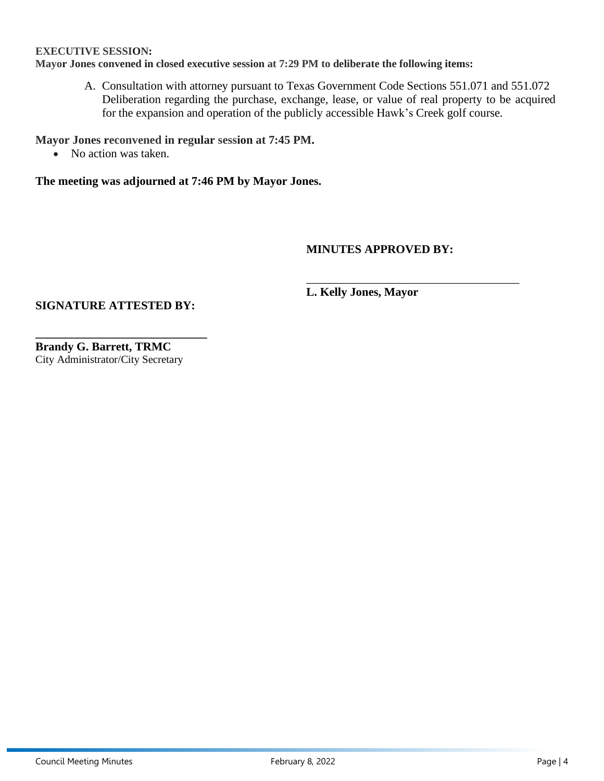# **B. Meetings**

- Planning and Zoning meeting, March  $29<sup>th</sup>$  at 6:00pm
- Regular Council meeting, April  $12<sup>th</sup>$  at 7:00pm

# **C. Citizen Comments**

*This is an opportunity for citizens to address the Council on any matter, whether it is or is not posted on the agenda. The Council is not permitted to discuss or take action on any presentations made to the Council concerning an item not listed on the agenda. To address the Council, submit a Public Comment Form to the City Secretary prior to the Citizen Comments portion of the meeting, and you will be called to the podium to speak up to three (3) minutes or the time limit determined by the mayor or presiding officer. Topics of presentations should be limited to matters over which the Council has authority. Public Comment Forms are located in the lobby and online.*

### **7. Public Hearings, Briefings and Action Items:**

### **A. Public Hearing**

Public hearing to receive citizen comment and input on the rezoning of IWELLNESS ADDITION Block 1, Lot 1 commonly known as 285 Roaring Springs Road, Westworth Village TX from Single Family Residential (SF-R) to Office (O).

### **B. Mayor Jones**

Discuss and take action **on the rezoning of IWELLNESS ADDITION Block 1, Lot 1 commonly known as 285 Roaring Springs Road, Westworth Village TX from Single Family Residential (SF-R) to Office (O).** *(The Planning and Zoning Commission met on March 3rd and recommend approval. This property was originally zoned as Office; it was rezoned to SF-A and the planned home was not built. The property has sold, and the new owners requested it be put back to Office zoning.)*

### **C. Mayor Jones**

Discuss and take action on **Ordinance 487 authorizing the issuance of refunding bonds; appointing a pricing officer and delegating authority to finalize sale of the bonds; pledging revenues for the security of the bonds; and enacting other provisions relating to the subject.**

### **EXECUTIVE SESSION:**

- A. Consultation with attorney pursuant to Texas Government Code Sections 551.071 and 551.072
	- Deliberation regarding the purchase, exchange, lease, or value of real property to be acquired for the expansion and operation of the publicly accessible Hawk's Creek golf course.

# **ADJOURN**

*The Council reserves the right to retire into executive session concerning any of the items listed on this Agenda, whenever it is considered necessary and legally justified under the Open Meetings Act. A quorum of other committee, board and commission members may be present at this meeting; no action will be taken by them.*

*This facility is wheelchair accessible and handicapped parking spaces are available. Requests for accommodations for the hearing impaired must be made 48 hours prior to this meeting. Please contact the City Secretary's Office at (817) 710-2526 for assistance.*